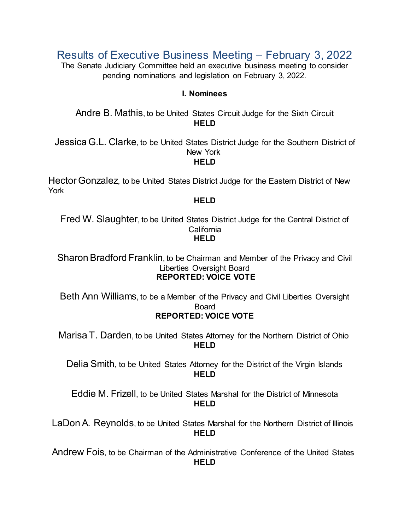Results of Executive Business Meeting – February 3, 2022

The Senate Judiciary Committee held an executive business meeting to consider pending nominations and legislation on February 3, 2022.

#### **I. Nominees**

Andre B. Mathis, to be United States Circuit Judge for the Sixth Circuit **HELD**

Jessica G.L. Clarke, to be United States District Judge for the Southern District of New York **HELD**

Hector Gonzalez, to be United States District Judge for the Eastern District of New York

#### **HELD**

Fred W. Slaughter, to be United States District Judge for the Central District of **California HELD**

Sharon Bradford Franklin, to be Chairman and Member of the Privacy and Civil Liberties Oversight Board **REPORTED: VOICE VOTE**

Beth Ann Williams, to be a Member of the Privacy and Civil Liberties Oversight **Board** 

## **REPORTED: VOICE VOTE**

Marisa T. Darden, to be United States Attorney for the Northern District of Ohio **HELD**

Delia Smith, to be United States Attorney for the District of the Virgin Islands **HELD**

Eddie M. Frizell, to be United States Marshal for the District of Minnesota **HELD**

LaDon A. Reynolds, to be United States Marshal for the Northern District of Illinois **HELD**

Andrew Fois, to be Chairman of the Administrative Conference of the United States **HELD**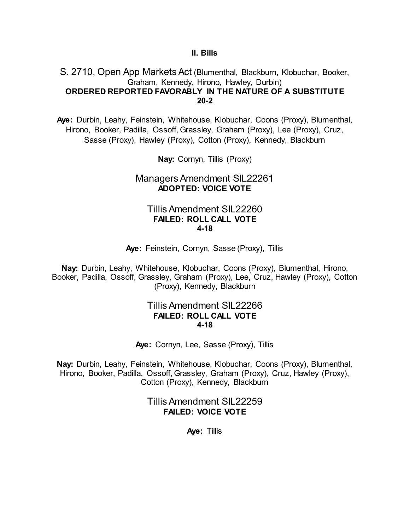#### **II. Bills**

# S. 2710, Open App Markets Act (Blumenthal, Blackburn, Klobuchar, Booker, Graham, Kennedy, Hirono, Hawley, Durbin) **ORDERED REPORTED FAVORABLY IN THE NATURE OF A SUBSTITUTE 20-2**

**Aye:** Durbin, Leahy, Feinstein, Whitehouse, Klobuchar, Coons (Proxy), Blumenthal, Hirono, Booker, Padilla, Ossoff, Grassley, Graham (Proxy), Lee (Proxy), Cruz, Sasse (Proxy), Hawley (Proxy), Cotton (Proxy), Kennedy, Blackburn

**Nay:** Cornyn, Tillis (Proxy)

## Managers Amendment SIL22261 **ADOPTED: VOICE VOTE**

## Tillis Amendment SIL22260 **FAILED: ROLL CALL VOTE 4-18**

**Aye:** Feinstein, Cornyn, Sasse (Proxy), Tillis

**Nay:** Durbin, Leahy, Whitehouse, Klobuchar, Coons (Proxy), Blumenthal, Hirono, Booker, Padilla, Ossoff, Grassley, Graham (Proxy), Lee, Cruz, Hawley (Proxy), Cotton (Proxy), Kennedy, Blackburn

## Tillis Amendment SIL22266 **FAILED: ROLL CALL VOTE 4-18**

**Aye:** Cornyn, Lee, Sasse (Proxy), Tillis

**Nay:** Durbin, Leahy, Feinstein, Whitehouse, Klobuchar, Coons (Proxy), Blumenthal, Hirono, Booker, Padilla, Ossoff, Grassley, Graham (Proxy), Cruz, Hawley (Proxy), Cotton (Proxy), Kennedy, Blackburn

> Tillis Amendment SIL22259 **FAILED: VOICE VOTE**

> > **Aye:** Tillis